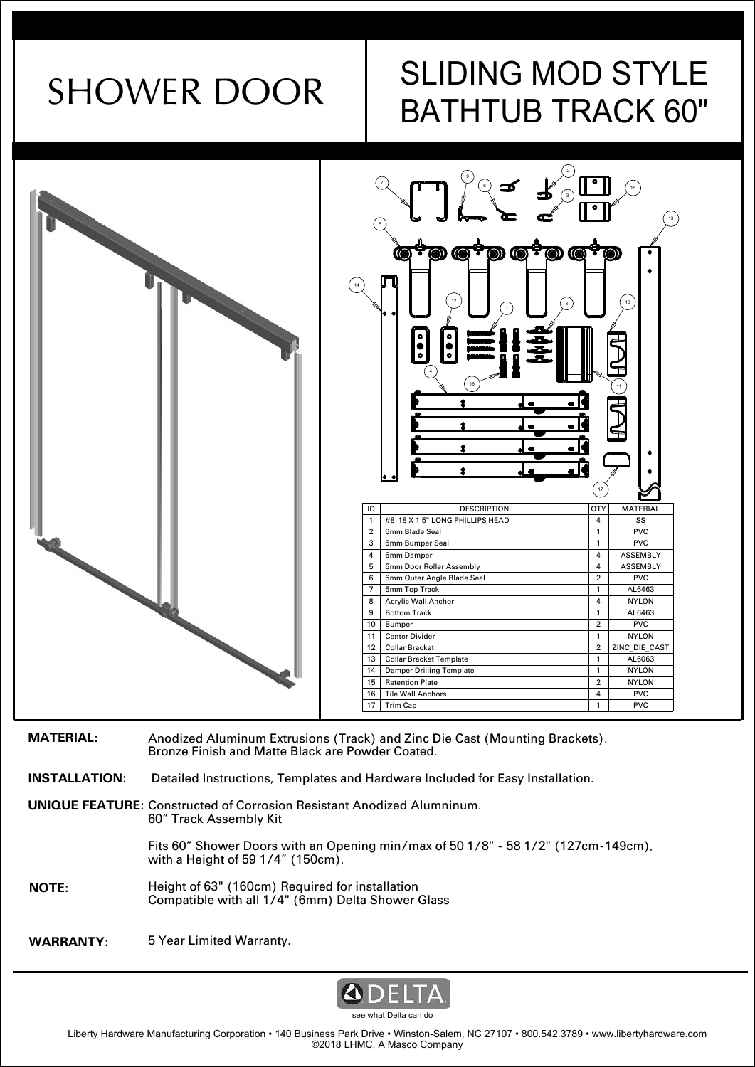# SHOWER DOOR SLIDING MOD STYLE BATHTUB TRACK 60"



| <b>MATERIAL:</b>     | Anodized Aluminum Extrusions (Track) and Zinc Die Cast (Mounting Brackets).<br>Bronze Finish and Matte Black are Powder Coated. |
|----------------------|---------------------------------------------------------------------------------------------------------------------------------|
| <b>INSTALLATION:</b> | Detailed Instructions, Templates and Hardware Included for Easy Installation.                                                   |
|                      | <b>UNIQUE FEATURE:</b> Constructed of Corrosion Resistant Anodized Alumninum.<br>60" Track Assembly Kit                         |
|                      | Fits 60" Shower Doors with an Opening min/max of 50 1/8" - 58 1/2" (127cm-149cm),<br>with a Height of 59 1/4" (150cm).          |
| <b>NOTE:</b>         | Height of 63" (160cm) Required for installation<br>Compatible with all 1/4" (6mm) Delta Shower Glass                            |
| <b>WARRANTY:</b>     | 5 Year Limited Warranty.                                                                                                        |

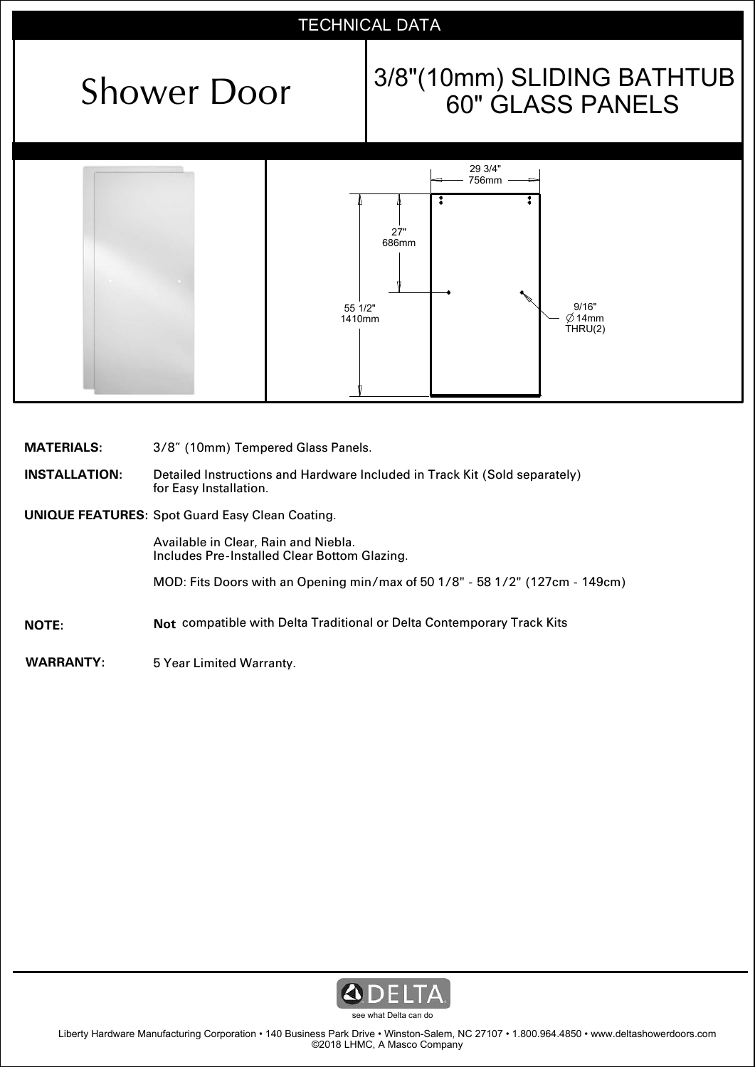## TECHNICAL DATA

# Shower Door  $\begin{vmatrix} 3/8 \end{vmatrix}$  (10mm) SLIDING BATHTUB



| <b>MATERIALS:</b>    | 3/8" (10mm) Tempered Glass Panels.                                                                   |
|----------------------|------------------------------------------------------------------------------------------------------|
| <b>INSTALLATION:</b> | Detailed Instructions and Hardware Included in Track Kit (Sold separately)<br>for Easy Installation. |
|                      | <b>UNIQUE FEATURES: Spot Guard Easy Clean Coating.</b>                                               |
|                      | Available in Clear, Rain and Niebla.<br>Includes Pre-Installed Clear Bottom Glazing.                 |
|                      | MOD: Fits Doors with an Opening min/max of 50 1/8" - 58 1/2" (127cm - 149cm)                         |
| <b>NOTE:</b>         | <b>Not</b> compatible with Delta Traditional or Delta Contemporary Track Kits                        |
| <b>WARRANTY:</b>     | 5 Year Limited Warranty.                                                                             |